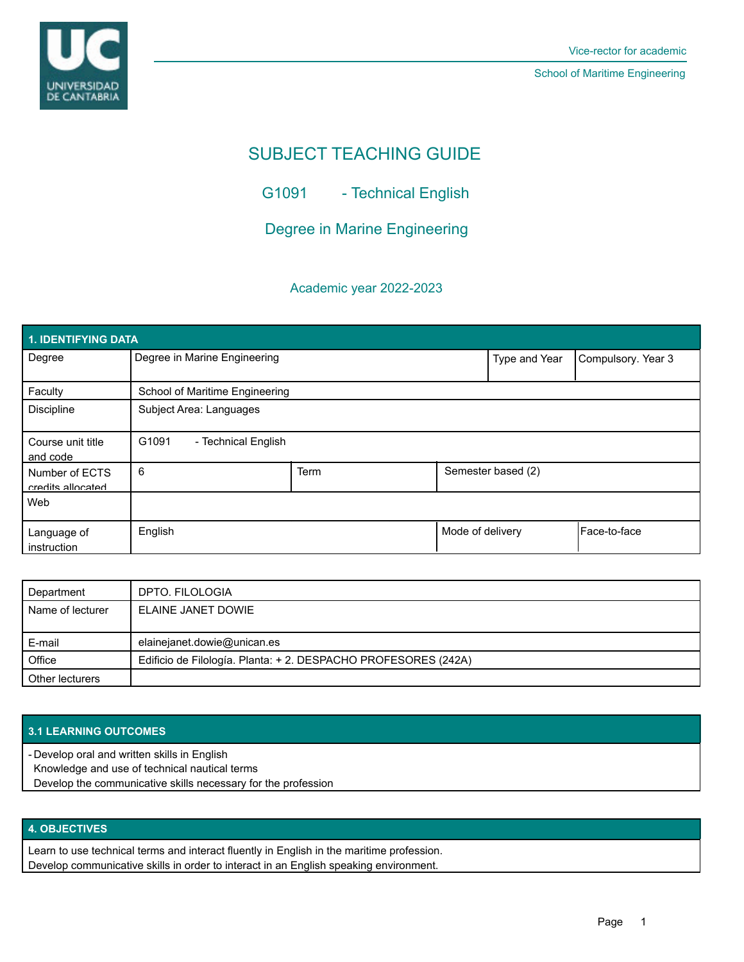

School of Maritime Engineering

# SUBJECT TEACHING GUIDE

G1091 - Technical English

Degree in Marine Engineering

### Academic year 2022-2023

| 1. IDENTIFYING DATA                 |                                |      |                  |                    |                    |  |  |  |
|-------------------------------------|--------------------------------|------|------------------|--------------------|--------------------|--|--|--|
| Degree                              | Degree in Marine Engineering   |      |                  | Type and Year      | Compulsory. Year 3 |  |  |  |
| Faculty                             | School of Maritime Engineering |      |                  |                    |                    |  |  |  |
| <b>Discipline</b>                   | Subject Area: Languages        |      |                  |                    |                    |  |  |  |
| Course unit title<br>and code       | G1091<br>- Technical English   |      |                  |                    |                    |  |  |  |
| Number of ECTS<br>credits allocated | 6                              | Term |                  | Semester based (2) |                    |  |  |  |
| Web                                 |                                |      |                  |                    |                    |  |  |  |
| Language of<br>instruction          | English                        |      | Mode of delivery |                    | Face-to-face       |  |  |  |

| Department       | DPTO. FILOLOGIA                                                |
|------------------|----------------------------------------------------------------|
| Name of lecturer | ELAINE JANET DOWIE                                             |
|                  |                                                                |
| E-mail           | elainejanet.dowie@unican.es                                    |
| Office           | Edificio de Filología. Planta: + 2. DESPACHO PROFESORES (242A) |
| Other lecturers  |                                                                |

### **3.1 LEARNING OUTCOMES**

Develop oral and written skills in English -

Knowledge and use of technical nautical terms

Develop the communicative skills necessary for the profession

## **4. OBJECTIVES**

Learn to use technical terms and interact fluently in English in the maritime profession. Develop communicative skills in order to interact in an English speaking environment.